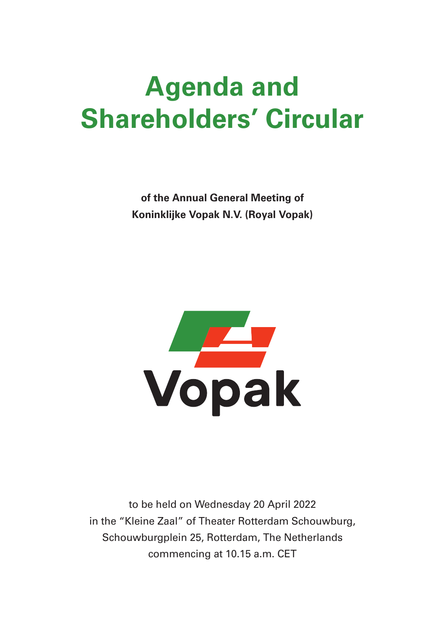# Agenda and Shareholders' Circular

of the Annual General Meeting of Koninklijke Vopak N.V. (Royal Vopak)



to be held on Wednesday 20 April 2022 in the "Kleine Zaal" of Theater Rotterdam Schouwburg, Schouwburgplein 25, Rotterdam, The Netherlands commencing at 10.15 a.m. CET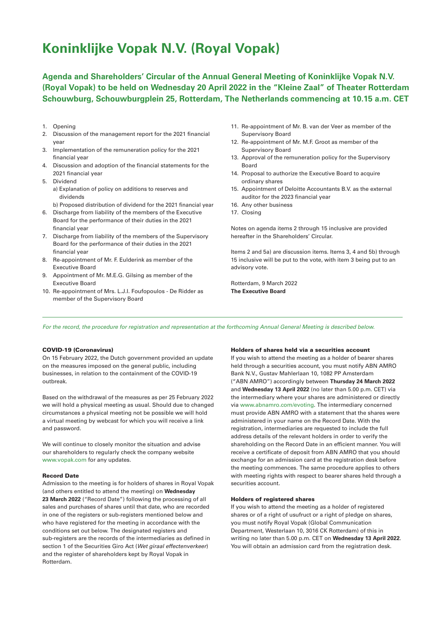## Koninklijke Vopak N.V. (Royal Vopak)

Agenda and Shareholders' Circular of the Annual General Meeting of Koninklijke Vopak N.V. (Royal Vopak) to be held on Wednesday 20 April 2022 in the "Kleine Zaal" of Theater Rotterdam Schouwburg, Schouwburgplein 25, Rotterdam, The Netherlands commencing at 10.15 a.m. CET

- 1. Opening
- 2. Discussion of the management report for the 2021 financial year
- 3. Implementation of the remuneration policy for the 2021 financial year
- 4. Discussion and adoption of the financial statements for the 2021 financial year
- 5. Dividend
	- a) Explanation of policy on additions to reserves and dividends
	- b) Proposed distribution of dividend for the 2021 financial year
- 6. Discharge from liability of the members of the Executive Board for the performance of their duties in the 2021 financial year
- 7. Discharge from liability of the members of the Supervisory Board for the performance of their duties in the 2021 financial year
- 8. Re-appointment of Mr. F. Eulderink as member of the Executive Board
- 9. Appointment of Mr. M.E.G. Gilsing as member of the Executive Board
- 10. Re-appointment of Mrs. L.J.I. Foufopoulos De Ridder as member of the Supervisory Board
- 11. Re-appointment of Mr. B. van der Veer as member of the Supervisory Board
- 12. Re-appointment of Mr. M.F. Groot as member of the Supervisory Board
- 13. Approval of the remuneration policy for the Supervisory Board
- 14. Proposal to authorize the Executive Board to acquire ordinary shares
- 15. Appointment of Deloitte Accountants B.V. as the external auditor for the 2023 financial year
- 16. Any other business
- 17. Closing

Notes on agenda items 2 through 15 inclusive are provided hereafter in the Shareholders' Circular.

Items 2 and 5a) are discussion items. Items 3, 4 and 5b) through 15 inclusive will be put to the vote, with item 3 being put to an advisory vote.

Rotterdam, 9 March 2022 The Executive Board

For the record, the procedure for registration and representation at the forthcoming Annual General Meeting is described below.

#### COVID-19 (Coronavirus)

On 15 February 2022, the Dutch government provided an update on the measures imposed on the general public, including businesses, in relation to the containment of the COVID-19 outbreak.

Based on the withdrawal of the measures as per 25 February 2022 we will hold a physical meeting as usual. Should due to changed circumstances a physical meeting not be possible we will hold a virtual meeting by webcast for which you will receive a link and password.

We will continue to closely monitor the situation and advise our shareholders to regularly check the company website www.vopak.com for any updates.

#### Record Date

Admission to the meeting is for holders of shares in Royal Vopak (and others entitled to attend the meeting) on Wednesday 23 March 2022 ("Record Date") following the processing of all sales and purchases of shares until that date, who are recorded in one of the registers or sub-registers mentioned below and who have registered for the meeting in accordance with the conditions set out below. The designated registers and sub-registers are the records of the intermediaries as defined in section 1 of the Securities Giro Act (Wet giraal effectenverkeer) and the register of shareholders kept by Royal Vopak in Rotterdam.

#### Holders of shares held via a securities account

If you wish to attend the meeting as a holder of bearer shares held through a securities account, you must notify ABN AMRO Bank N.V., Gustav Mahlerlaan 10, 1082 PP Amsterdam ("ABN AMRO") accordingly between Thursday 24 March 2022 and Wednesday 13 April 2022 (no later than 5.00 p.m. CET) via the intermediary where your shares are administered or directly via www.abnamro.com/evoting. The intermediary concerned must provide ABN AMRO with a statement that the shares were administered in your name on the Record Date. With the registration, intermediaries are requested to include the full address details of the relevant holders in order to verify the shareholding on the Record Date in an efficient manner. You will receive a certificate of deposit from ABN AMRO that you should exchange for an admission card at the registration desk before the meeting commences. The same procedure applies to others with meeting rights with respect to bearer shares held through a securities account.

#### Holders of registered shares

If you wish to attend the meeting as a holder of registered shares or of a right of usufruct or a right of pledge on shares, you must notify Royal Vopak (Global Communication Department, Westerlaan 10, 3016 CK Rotterdam) of this in writing no later than 5.00 p.m. CET on Wednesday 13 April 2022. You will obtain an admission card from the registration desk.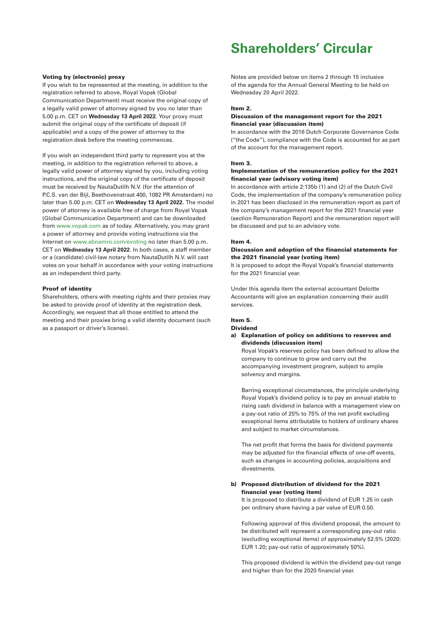#### Voting by (electronic) proxy

If you wish to be represented at the meeting, in addition to the registration referred to above, Royal Vopak (Global Communication Department) must receive the original copy of a legally valid power of attorney signed by you no later than 5.00 p.m. CET on Wednesday 13 April 2022. Your proxy must submit the original copy of the certificate of deposit (if applicable) and a copy of the power of attorney to the registration desk before the meeting commences.

If you wish an independent third party to represent you at the meeting, in addition to the registration referred to above, a legally valid power of attorney signed by you, including voting instructions, and the original copy of the certificate of deposit must be received by NautaDutilh N.V. (for the attention of P.C.S. van der Bijl, Beethovenstraat 400, 1082 PR Amsterdam) no later than 5.00 p.m. CET on Wednesday 13 April 2022. The model power of attorney is available free of charge from Royal Vopak (Global Communication Department) and can be downloaded from www.vopak.com as of today. Alternatively, you may grant a power of attorney and provide voting instructions via the Internet on www.abnamro.com/evoting no later than 5.00 p.m. CET on Wednesday 13 April 2022. In both cases, a staff member or a (candidate) civil-law notary from NautaDutilh N.V. will cast votes on your behalf in accordance with your voting instructions as an independent third party.

#### Proof of identity

Shareholders, others with meeting rights and their proxies may be asked to provide proof of identity at the registration desk. Accordingly, we request that all those entitled to attend the meeting and their proxies bring a valid identity document (such as a passport or driver's license).

## Shareholders' Circular

Notes are provided below on items 2 through 15 inclusive of the agenda for the Annual General Meeting to be held on Wednesday 20 April 2022.

#### Item 2.

#### Discussion of the management report for the 2021 financial year (discussion item)

In accordance with the 2016 Dutch Corporate Governance Code (''the Code"), compliance with the Code is accounted for as part of the account for the management report.

#### Item 3.

#### Implementation of the remuneration policy for the 2021 financial year (advisory voting item)

In accordance with article 2:135b (1) and (2) of the Dutch Civil Code, the implementation of the company's remuneration policy in 2021 has been disclosed in the remuneration report as part of the company's management report for the 2021 financial year (section Remuneration Report) and the remuneration report will be discussed and put to an advisory vote.

### Item 4.

#### Discussion and adoption of the financial statements for the 2021 financial year (voting item)

It is proposed to adopt the Royal Vopak's financial statements for the 2021 financial year.

Under this agenda item the external accountant Deloitte Accountants will give an explanation concerning their audit services.

#### Item 5.

#### Dividend

a) Explanation of policy on additions to reserves and dividends (discussion item)

 Royal Vopak's reserves policy has been defined to allow the company to continue to grow and carry out the accompanying investment program, subject to ample solvency and margins.

 Barring exceptional circumstances, the principle underlying Royal Vopak's dividend policy is to pay an annual stable to rising cash dividend in balance with a management view on a pay-out ratio of 25% to 75% of the net profit excluding exceptional items attributable to holders of ordinary shares and subject to market circumstances.

 The net profit that forms the basis for dividend payments may be adjusted for the financial effects of one-off events, such as changes in accounting policies, acquisitions and divestments.

#### b) Proposed distribution of dividend for the 2021 financial year (voting item)

 It is proposed to distribute a dividend of EUR 1.25 in cash per ordinary share having a par value of EUR 0.50.

 Following approval of this dividend proposal, the amount to be distributed will represent a corresponding pay-out ratio (excluding exceptional items) of approximately 52.5% (2020: EUR 1.20; pay-out ratio of approximately 50%).

 This proposed dividend is within the dividend pay-out range and higher than for the 2020 financial year.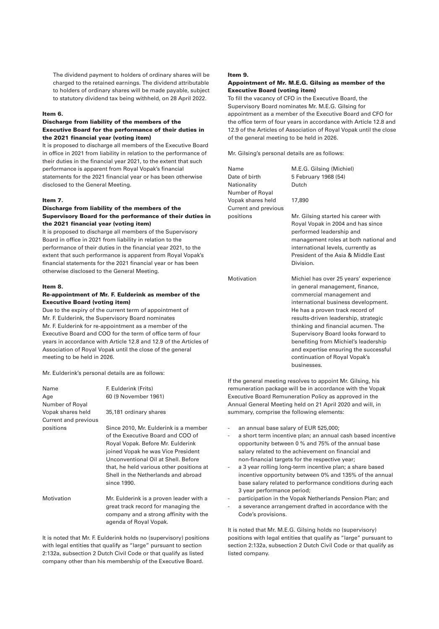The dividend payment to holders of ordinary shares will be charged to the retained earnings. The dividend attributable to holders of ordinary shares will be made payable, subject to statutory dividend tax being withheld, on 28 April 2022.

#### Item 6.

#### Discharge from liability of the members of the Executive Board for the performance of their duties in the 2021 financial year (voting item)

It is proposed to discharge all members of the Executive Board in office in 2021 from liability in relation to the performance of their duties in the financial year 2021, to the extent that such performance is apparent from Royal Vopak's financial statements for the 2021 financial year or has been otherwise disclosed to the General Meeting.

#### Item 7.

#### Discharge from liability of the members of the Supervisory Board for the performance of their duties in the 2021 financial year (voting item)

It is proposed to discharge all members of the Supervisory Board in office in 2021 from liability in relation to the performance of their duties in the financial year 2021, to the extent that such performance is apparent from Royal Vopak's financial statements for the 2021 financial year or has been otherwise disclosed to the General Meeting.

#### Item 8.

#### Re-appointment of Mr. F. Eulderink as member of the Executive Board (voting item)

Due to the expiry of the current term of appointment of Mr. F. Eulderink, the Supervisory Board nominates Mr. F. Eulderink for re-appointment as a member of the Executive Board and COO for the term of office term of four years in accordance with Article 12.8 and 12.9 of the Articles of Association of Royal Vopak until the close of the general meeting to be held in 2026.

Mr. Eulderink's personal details are as follows:

| Name<br>Age<br>Number of Royal            | F. Eulderink (Frits)<br>60 (9 November 1961)                                                                                                                                                                                                                                                   |
|-------------------------------------------|------------------------------------------------------------------------------------------------------------------------------------------------------------------------------------------------------------------------------------------------------------------------------------------------|
| Vopak shares held<br>Current and previous | 35,181 ordinary shares                                                                                                                                                                                                                                                                         |
| positions                                 | Since 2010, Mr. Eulderink is a member<br>of the Executive Board and COO of<br>Royal Vopak. Before Mr. Eulderink<br>joined Vopak he was Vice President<br>Unconventional Oil at Shell, Before<br>that, he held various other positions at<br>Shell in the Netherlands and abroad<br>since 1990. |
| Motivation                                | Mr. Eulderink is a proven leader with a<br>great track record for managing the<br>company and a strong affinity with the<br>agenda of Royal Vopak.                                                                                                                                             |

It is noted that Mr. F. Eulderink holds no (supervisory) positions with legal entities that qualify as "large" pursuant to section 2:132a, subsection 2 Dutch Civil Code or that qualify as listed company other than his membership of the Executive Board.

#### Item 9.

#### Appointment of Mr. M.E.G. Gilsing as member of the Executive Board (voting item)

To fill the vacancy of CFO in the Executive Board, the Supervisory Board nominates Mr. M.E.G. Gilsing for appointment as a member of the Executive Board and CFO for the office term of four years in accordance with Article 12.8 and 12.9 of the Articles of Association of Royal Vopak until the close of the general meeting to be held in 2026.

Mr. Gilsing's personal details are as follows:

| Name                 | M.E.G. Gilsing (Michiel)              |
|----------------------|---------------------------------------|
| Date of birth        | 5 February 1968 (54)                  |
| Nationality          | Dutch                                 |
| Number of Royal      |                                       |
| Vopak shares held    | 17,890                                |
| Current and previous |                                       |
| positions            | Mr. Gilsing started his career with   |
|                      | Royal Vopak in 2004 and has since     |
|                      | performed leadership and              |
|                      | management roles at both national and |
|                      | international levels, currently as    |
|                      | President of the Asia & Middle East   |
|                      | Division.                             |
| Motivation           | Michiel has over 25 years' experience |
|                      | in general management, finance,       |
|                      | commercial management and             |
|                      | international business development.   |
|                      | He has a proven track record of       |
|                      | results-driven leadership, strategic  |
|                      | thinking and financial acumen. The    |
|                      | Supervisory Board looks forward to    |
|                      | benefiting from Michiel's leadership  |
|                      | and expertise ensuring the successful |
|                      | continuation of Royal Vopak's         |
|                      | businesses.                           |
|                      |                                       |

If the general meeting resolves to appoint Mr. Gilsing, his remuneration package will be in accordance with the Vopak Executive Board Remuneration Policy as approved in the Annual General Meeting held on 21 April 2020 and will, in summary, comprise the following elements:

- an annual base salary of EUR 525,000;
- a short term incentive plan; an annual cash based incentive opportunity between 0 % and 75% of the annual base salary related to the achievement on financial and non-financial targets for the respective year;
- a 3 year rolling long-term incentive plan; a share based incentive opportunity between 0% and 135% of the annual base salary related to performance conditions during each 3 year performance period;
- participation in the Vopak Netherlands Pension Plan; and
- a severance arrangement drafted in accordance with the Code's provisions.

It is noted that Mr. M.E.G. Gilsing holds no (supervisory) positions with legal entities that qualify as "large" pursuant to section 2:132a, subsection 2 Dutch Civil Code or that qualify as listed company.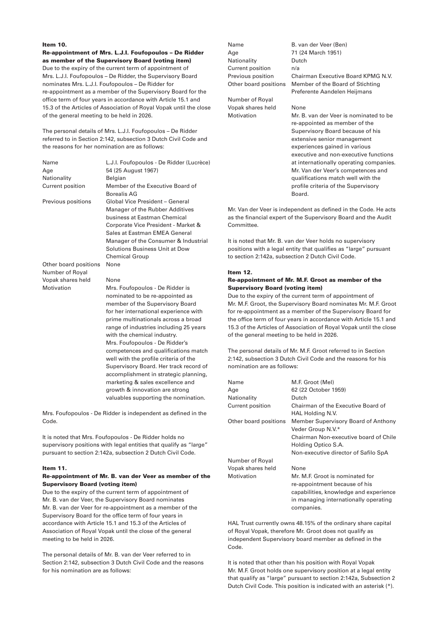### Item 10.

Re-appointment of Mrs. L.J.I. Foufopoulos – De Ridder as member of the Supervisory Board (voting item) Due to the expiry of the current term of appointment of Mrs. L.J.I. Foufopoulos – De Ridder, the Supervisory Board nominates Mrs. L.J.I. Foufopoulos – De Ridder for re-appointment as a member of the Supervisory Board for the office term of four years in accordance with Article 15.1 and 15.3 of the Articles of Association of Royal Vopak until the close of the general meeting to be held in 2026.

The personal details of Mrs. L.J.I. Foufopoulos – De Ridder referred to in Section 2:142, subsection 3 Dutch Civil Code and the reasons for her nomination are as follows:

| Name                                     | L.J.I. Foufopoulos - De Ridder (Lucrèce)                                                                                                                                                                                                                                                                                                                                                                                                                             |
|------------------------------------------|----------------------------------------------------------------------------------------------------------------------------------------------------------------------------------------------------------------------------------------------------------------------------------------------------------------------------------------------------------------------------------------------------------------------------------------------------------------------|
| Age                                      | 54 (25 August 1967)                                                                                                                                                                                                                                                                                                                                                                                                                                                  |
| Nationality                              | Belgian                                                                                                                                                                                                                                                                                                                                                                                                                                                              |
| Current position                         | Member of the Executive Board of<br><b>Borealis AG</b>                                                                                                                                                                                                                                                                                                                                                                                                               |
| Previous positions                       | Global Vice President - General<br>Manager of the Rubber Additives<br>business at Eastman Chemical<br>Corporate Vice President - Market &<br>Sales at Eastman EMEA General<br>Manager of the Consumer & Industrial<br>Solutions Business Unit at Dow<br><b>Chemical Group</b>                                                                                                                                                                                        |
| Other board positions<br>Number of Royal | None                                                                                                                                                                                                                                                                                                                                                                                                                                                                 |
| Vopak shares held                        | None                                                                                                                                                                                                                                                                                                                                                                                                                                                                 |
| Motivation                               | Mrs. Foufopoulos - De Ridder is<br>nominated to be re-appointed as<br>member of the Supervisory Board<br>for her international experience with<br>prime multinationals across a broad<br>range of industries including 25 years<br>with the chemical industry.<br>Mrs. Foufopoulos - De Ridder's<br>competences and qualifications match<br>well with the profile criteria of the<br>Supervisory Board. Her track record of<br>accomplishment in strategic planning, |

Mrs. Foufopoulos - De Ridder is independent as defined in the Code.

marketing & sales excellence and growth & innovation are strong valuables supporting the nomination.

It is noted that Mrs. Foufopoulos - De Ridder holds no supervisory positions with legal entities that qualify as "large" pursuant to section 2:142a, subsection 2 Dutch Civil Code.

#### Item 11.

#### Re-appointment of Mr. B. van der Veer as member of the Supervisory Board (voting item)

Due to the expiry of the current term of appointment of Mr. B. van der Veer, the Supervisory Board nominates Mr. B. van der Veer for re-appointment as a member of the Supervisory Board for the office term of four years in accordance with Article 15.1 and 15.3 of the Articles of Association of Royal Vopak until the close of the general meeting to be held in 2026.

The personal details of Mr. B. van der Veer referred to in Section 2:142, subsection 3 Dutch Civil Code and the reasons for his nomination are as follows:

Age 71 (24 March 1951) Nationality Dutch Current position n/a

Number of Royal Vopak shares held None

Name B. van der Veer (Ben) Previous position Chairman Executive Board KPMG N.V. Other board positions Member of the Board of Stichting Preferente Aandelen Heijmans

Motivation Mr. B. van der Veer is nominated to be re-appointed as member of the Supervisory Board because of his extensive senior management experiences gained in various executive and non-executive functions at internationally operating companies. Mr. Van der Veer's competences and qualifications match well with the profile criteria of the Supervisory Board.

Mr. Van der Veer is independent as defined in the Code. He acts as the financial expert of the Supervisory Board and the Audit Committee.

It is noted that Mr. B. van der Veer holds no supervisory positions with a legal entity that qualifies as "large" pursuant to section 2:142a, subsection 2 Dutch Civil Code.

#### Item 12.

#### Re-appointment of Mr. M.F. Groot as member of the Supervisory Board (voting item)

Due to the expiry of the current term of appointment of Mr. M.F. Groot, the Supervisory Board nominates Mr. M.F. Groot for re-appointment as a member of the Supervisory Board for the office term of four years in accordance with Article 15.1 and 15.3 of the Articles of Association of Royal Vopak until the close of the general meeting to be held in 2026.

The personal details of Mr. M.F. Groot referred to in Section 2:142, subsection 3 Dutch Civil Code and the reasons for his nomination are as follows:

| Name                  | M.F. Groot (Mel)                       |
|-----------------------|----------------------------------------|
| Age                   | 62 (22 October 1959)                   |
| Nationality           | Dutch                                  |
| Current position      | Chairman of the Executive Board of     |
|                       | HAL Holding N.V.                       |
| Other board positions | Member Supervisory Board of Anthony    |
|                       | Veder Group N.V.*                      |
|                       | Chairman Non-executive board of Chile  |
|                       | Holding Optico S.A.                    |
|                       | Non-executive director of Safilo SpA   |
| Number of Royal       |                                        |
| Vopak shares held     | None                                   |
| Motivation            | Mr. M.F. Groot is nominated for        |
|                       | re-appointment because of his          |
|                       | capabilities, knowledge and experience |
|                       | in managing internationally operating  |
|                       | companies.                             |

HAL Trust currently owns 48.15% of the ordinary share capital of Royal Vopak, therefore Mr. Groot does not qualify as independent Supervisory board member as defined in the Code.

It is noted that other than his position with Royal Vopak Mr. M.F. Groot holds one supervisory position at a legal entity that qualify as "large" pursuant to section 2:142a, Subsection 2 Dutch Civil Code. This position is indicated with an asterisk (\*).